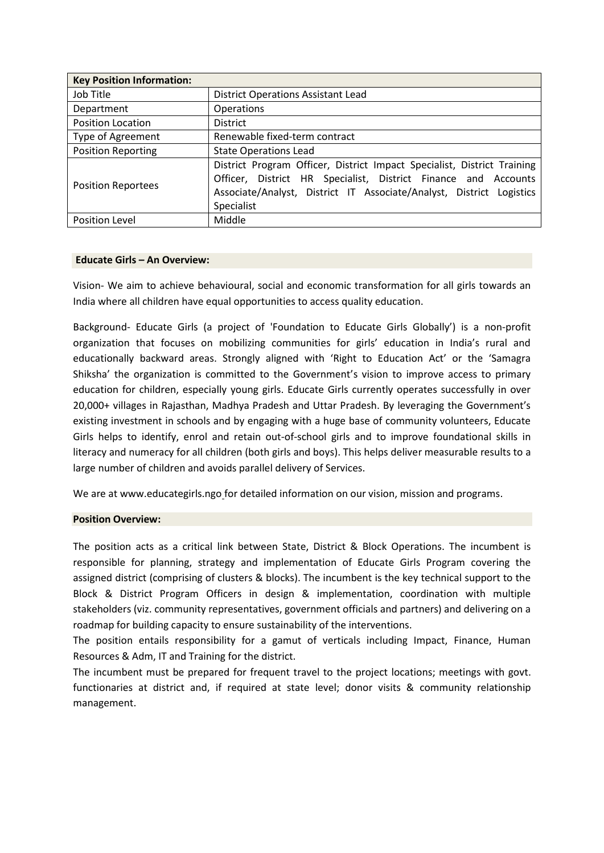| <b>Key Position Information:</b> |                                                                                                                                                                                                                                 |  |  |
|----------------------------------|---------------------------------------------------------------------------------------------------------------------------------------------------------------------------------------------------------------------------------|--|--|
| Job Title                        | <b>District Operations Assistant Lead</b>                                                                                                                                                                                       |  |  |
| Department                       | <b>Operations</b>                                                                                                                                                                                                               |  |  |
| <b>Position Location</b>         | <b>District</b>                                                                                                                                                                                                                 |  |  |
| Type of Agreement                | Renewable fixed-term contract                                                                                                                                                                                                   |  |  |
| <b>Position Reporting</b>        | <b>State Operations Lead</b>                                                                                                                                                                                                    |  |  |
| <b>Position Reportees</b>        | District Program Officer, District Impact Specialist, District Training<br>Officer, District HR Specialist, District Finance and Accounts<br>Associate/Analyst, District IT Associate/Analyst, District Logistics<br>Specialist |  |  |
| <b>Position Level</b>            | Middle                                                                                                                                                                                                                          |  |  |

#### **Educate Girls – An Overview:**

Vision- We aim to achieve behavioural, social and economic transformation for all girls towards an India where all children have equal opportunities to access quality education.

Background- Educate Girls (a project of 'Foundation to Educate Girls Globally') is a non-profit organization that focuses on mobilizing communities for girls' education in India's rural and educationally backward areas. Strongly aligned with 'Right to Education Act' or the 'Samagra Shiksha' the organization is committed to the Government's vision to improve access to primary education for children, especially young girls. Educate Girls currently operates successfully in over 20,000+ villages in Rajasthan, Madhya Pradesh and Uttar Pradesh. By leveraging the Government's existing investment in schools and by engaging with a huge base of community volunteers, Educate Girls helps to identify, enrol and retain out-of-school girls and to improve foundational skills in literacy and numeracy for all children (both girls and boys). This helps deliver measurable results to a large number of children and avoids parallel delivery of Services.

We are at www.educategirls.ngo for detailed information on our vision, mission and programs.

# **Position Overview:**

The position acts as a critical link between State, District & Block Operations. The incumbent is responsible for planning, strategy and implementation of Educate Girls Program covering the assigned district (comprising of clusters & blocks). The incumbent is the key technical support to the Block & District Program Officers in design & implementation, coordination with multiple stakeholders (viz. community representatives, government officials and partners) and delivering on a roadmap for building capacity to ensure sustainability of the interventions.

The position entails responsibility for a gamut of verticals including Impact, Finance, Human Resources & Adm, IT and Training for the district.

The incumbent must be prepared for frequent travel to the project locations; meetings with govt. functionaries at district and, if required at state level; donor visits & community relationship management.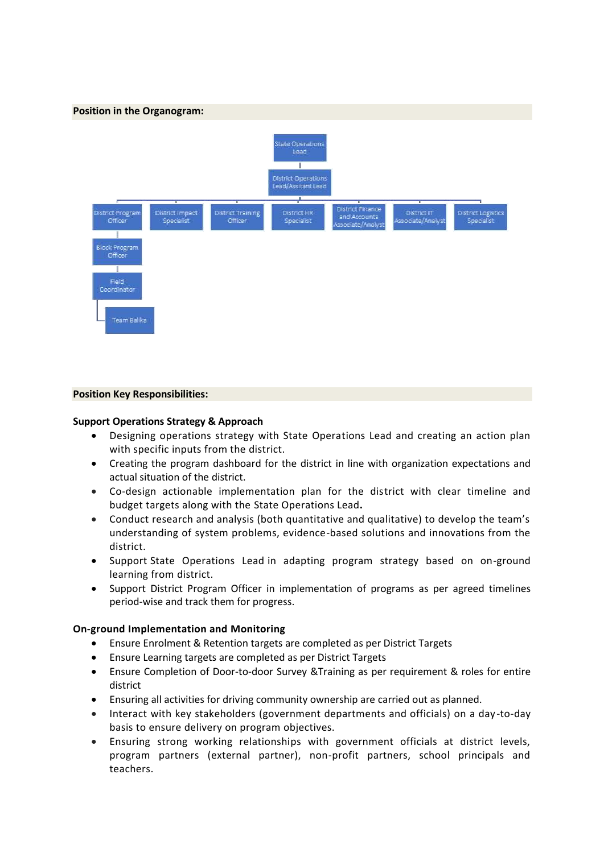

# **Position Key Responsibilities:**

#### **Support Operations Strategy & Approach**

- Designing operations strategy with State Operations Lead and creating an action plan with specific inputs from the district.
- Creating the program dashboard for the district in line with organization expectations and actual situation of the district.
- Co-design actionable implementation plan for the district with clear timeline and budget targets along with the State Operations Lead**.**
- Conduct research and analysis (both quantitative and qualitative) to develop the team's understanding of system problems, evidence-based solutions and innovations from the district.
- Support State Operations Lead in adapting program strategy based on on-ground learning from district.
- Support District Program Officer in implementation of programs as per agreed timelines period-wise and track them for progress.

# **On-ground Implementation and Monitoring**

- Ensure Enrolment & Retention targets are completed as per District Targets
- Ensure Learning targets are completed as per District Targets
- Ensure Completion of Door-to-door Survey &Training as per requirement & roles for entire district
- Ensuring all activities for driving community ownership are carried out as planned.
- Interact with key stakeholders (government departments and officials) on a day -to-day basis to ensure delivery on program objectives.
- Ensuring strong working relationships with government officials at district levels, program partners (external partner), non-profit partners, school principals and teachers.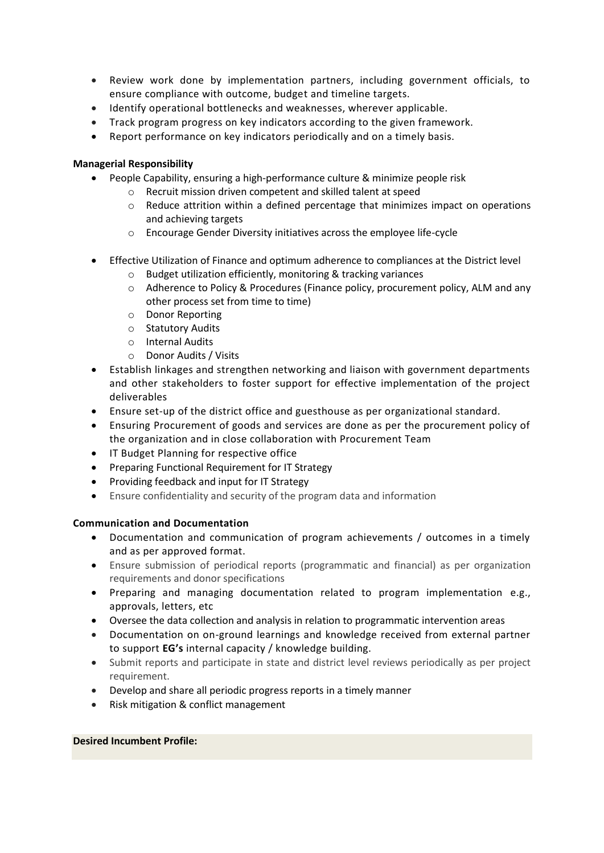- Review work done by implementation partners, including government officials, to ensure compliance with outcome, budget and timeline targets.
- Identify operational bottlenecks and weaknesses, wherever applicable.
- Track program progress on key indicators according to the given framework.
- Report performance on key indicators periodically and on a timely basis.

# **Managerial Responsibility**

- People Capability, ensuring a high-performance culture & minimize people risk
	- o Recruit mission driven competent and skilled talent at speed
	- $\circ$  Reduce attrition within a defined percentage that minimizes impact on operations and achieving targets
	- o Encourage Gender Diversity initiatives across the employee life-cycle
- Effective Utilization of Finance and optimum adherence to compliances at the District level
	- o Budget utilization efficiently, monitoring & tracking variances
	- o Adherence to Policy & Procedures (Finance policy, procurement policy, ALM and any other process set from time to time)
	- o Donor Reporting
	- o Statutory Audits
	- o Internal Audits
	- o Donor Audits / Visits
- Establish linkages and strengthen networking and liaison with government departments and other stakeholders to foster support for effective implementation of the project deliverables
- Ensure set-up of the district office and guesthouse as per organizational standard.
- Ensuring Procurement of goods and services are done as per the procurement policy of the organization and in close collaboration with Procurement Team
- IT Budget Planning for respective office
- Preparing Functional Requirement for IT Strategy
- Providing feedback and input for IT Strategy
- Ensure confidentiality and security of the program data and information

# **Communication and Documentation**

- Documentation and communication of program achievements / outcomes in a timely and as per approved format.
- Ensure submission of periodical reports (programmatic and financial) as per organization requirements and donor specifications
- Preparing and managing documentation related to program implementation e.g., approvals, letters, etc
- Oversee the data collection and analysis in relation to programmatic intervention areas
- Documentation on on-ground learnings and knowledge received from external partner to support **EG's** internal capacity / knowledge building.
- Submit reports and participate in state and district level reviews periodically as per project requirement.
- Develop and share all periodic progress reports in a timely manner
- Risk mitigation & conflict management

# **Desired Incumbent Profile:**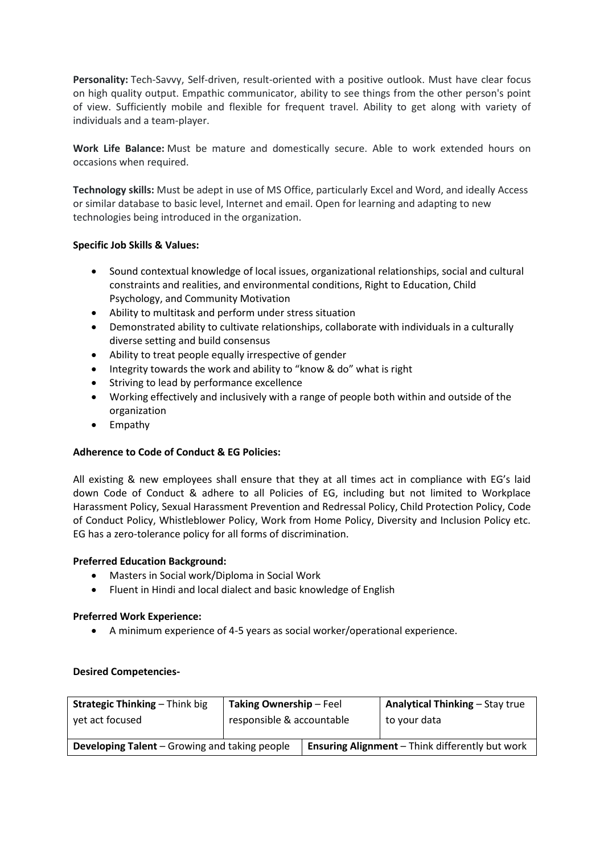**Personality:** Tech-Savvy, Self-driven, result-oriented with a positive outlook. Must have clear focus on high quality output. Empathic communicator, ability to see things from the other person's point of view. Sufficiently mobile and flexible for frequent travel. Ability to get along with variety of individuals and a team-player.

**Work Life Balance:** Must be mature and domestically secure. Able to work extended hours on occasions when required.

**Technology skills:** Must be adept in use of MS Office, particularly Excel and Word, and ideally Access or similar database to basic level, Internet and email. Open for learning and adapting to new technologies being introduced in the organization.

# **Specific Job Skills & Values:**

- Sound contextual knowledge of local issues, organizational relationships, social and cultural constraints and realities, and environmental conditions, Right to Education, Child Psychology, and Community Motivation
- Ability to multitask and perform under stress situation
- Demonstrated ability to cultivate relationships, collaborate with individuals in a culturally diverse setting and build consensus
- Ability to treat people equally irrespective of gender
- Integrity towards the work and ability to "know & do" what is right
- Striving to lead by performance excellence
- Working effectively and inclusively with a range of people both within and outside of the organization
- Empathy

# **Adherence to Code of Conduct & EG Policies:**

All existing & new employees shall ensure that they at all times act in compliance with EG's laid down Code of Conduct & adhere to all Policies of EG, including but not limited to Workplace Harassment Policy, Sexual Harassment Prevention and Redressal Policy, Child Protection Policy, Code of Conduct Policy, Whistleblower Policy, Work from Home Policy, Diversity and Inclusion Policy etc. EG has a zero-tolerance policy for all forms of discrimination.

# **Preferred Education Background:**

- Masters in Social work/Diploma in Social Work
- Fluent in Hindi and local dialect and basic knowledge of English

# **Preferred Work Experience:**

• A minimum experience of 4-5 years as social worker/operational experience.

# **Desired Competencies-**

| <b>Strategic Thinking - Think big</b>                | Taking Ownership - Feel   |  | <b>Analytical Thinking - Stay true</b>                 |
|------------------------------------------------------|---------------------------|--|--------------------------------------------------------|
| yet act focused                                      | responsible & accountable |  | to your data                                           |
| <b>Developing Talent</b> – Growing and taking people |                           |  | <b>Ensuring Alignment</b> – Think differently but work |